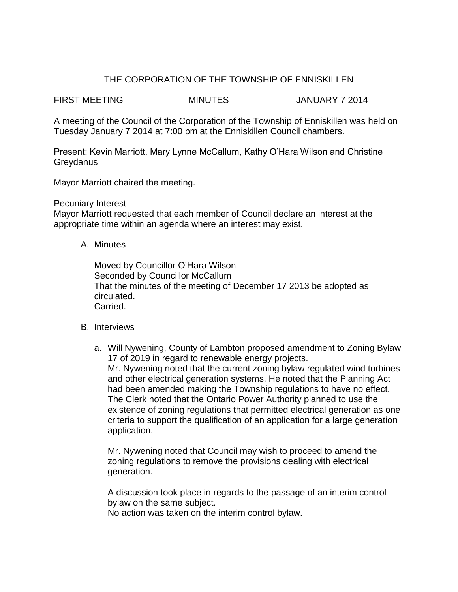# THE CORPORATION OF THE TOWNSHIP OF ENNISKILLEN

FIRST MEETING MINUTES JANUARY 7 2014

A meeting of the Council of the Corporation of the Township of Enniskillen was held on Tuesday January 7 2014 at 7:00 pm at the Enniskillen Council chambers.

Present: Kevin Marriott, Mary Lynne McCallum, Kathy O'Hara Wilson and Christine Greydanus

Mayor Marriott chaired the meeting.

Pecuniary Interest

Mayor Marriott requested that each member of Council declare an interest at the appropriate time within an agenda where an interest may exist.

A. Minutes

Moved by Councillor O'Hara Wilson Seconded by Councillor McCallum That the minutes of the meeting of December 17 2013 be adopted as circulated. Carried.

- B. Interviews
	- a. Will Nywening, County of Lambton proposed amendment to Zoning Bylaw 17 of 2019 in regard to renewable energy projects. Mr. Nywening noted that the current zoning bylaw regulated wind turbines and other electrical generation systems. He noted that the Planning Act had been amended making the Township regulations to have no effect. The Clerk noted that the Ontario Power Authority planned to use the existence of zoning regulations that permitted electrical generation as one criteria to support the qualification of an application for a large generation application.

Mr. Nywening noted that Council may wish to proceed to amend the zoning regulations to remove the provisions dealing with electrical generation.

A discussion took place in regards to the passage of an interim control bylaw on the same subject.

No action was taken on the interim control bylaw.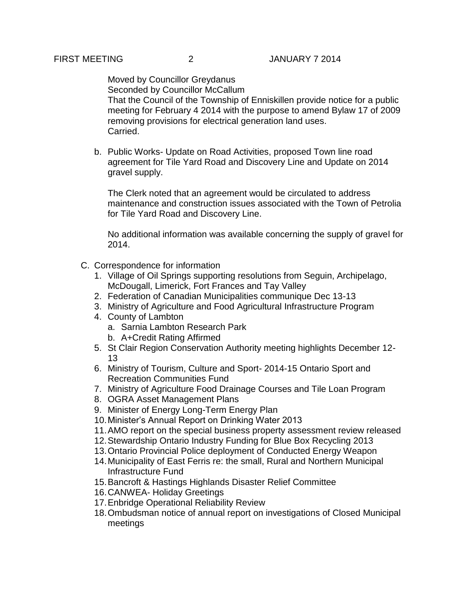Moved by Councillor Greydanus Seconded by Councillor McCallum That the Council of the Township of Enniskillen provide notice for a public meeting for February 4 2014 with the purpose to amend Bylaw 17 of 2009 removing provisions for electrical generation land uses. Carried.

b. Public Works- Update on Road Activities, proposed Town line road agreement for Tile Yard Road and Discovery Line and Update on 2014 gravel supply.

The Clerk noted that an agreement would be circulated to address maintenance and construction issues associated with the Town of Petrolia for Tile Yard Road and Discovery Line.

No additional information was available concerning the supply of gravel for 2014.

- C. Correspondence for information
	- 1. Village of Oil Springs supporting resolutions from Seguin, Archipelago, McDougall, Limerick, Fort Frances and Tay Valley
	- 2. Federation of Canadian Municipalities communique Dec 13-13
	- 3. Ministry of Agriculture and Food Agricultural Infrastructure Program
	- 4. County of Lambton
		- a. Sarnia Lambton Research Park
		- b. A+Credit Rating Affirmed
	- 5. St Clair Region Conservation Authority meeting highlights December 12- 13
	- 6. Ministry of Tourism, Culture and Sport- 2014-15 Ontario Sport and Recreation Communities Fund
	- 7. Ministry of Agriculture Food Drainage Courses and Tile Loan Program
	- 8. OGRA Asset Management Plans
	- 9. Minister of Energy Long-Term Energy Plan
	- 10.Minister's Annual Report on Drinking Water 2013
	- 11.AMO report on the special business property assessment review released
	- 12.Stewardship Ontario Industry Funding for Blue Box Recycling 2013
	- 13.Ontario Provincial Police deployment of Conducted Energy Weapon
	- 14.Municipality of East Ferris re: the small, Rural and Northern Municipal Infrastructure Fund
	- 15.Bancroft & Hastings Highlands Disaster Relief Committee
	- 16.CANWEA- Holiday Greetings
	- 17.Enbridge Operational Reliability Review
	- 18.Ombudsman notice of annual report on investigations of Closed Municipal meetings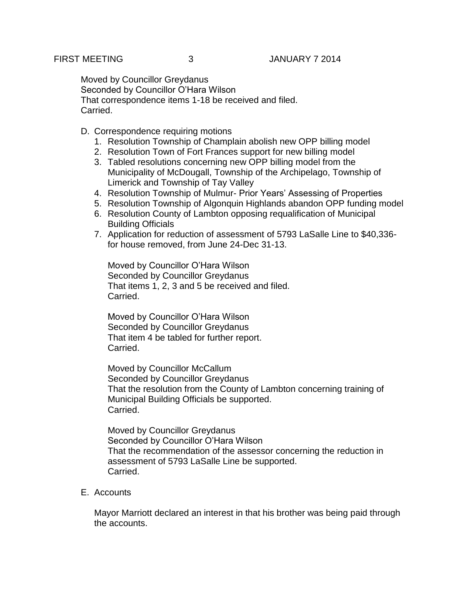Moved by Councillor Greydanus Seconded by Councillor O'Hara Wilson That correspondence items 1-18 be received and filed. Carried.

- D. Correspondence requiring motions
	- 1. Resolution Township of Champlain abolish new OPP billing model
	- 2. Resolution Town of Fort Frances support for new billing model
	- 3. Tabled resolutions concerning new OPP billing model from the Municipality of McDougall, Township of the Archipelago, Township of Limerick and Township of Tay Valley
	- 4. Resolution Township of Mulmur- Prior Years' Assessing of Properties
	- 5. Resolution Township of Algonquin Highlands abandon OPP funding model
	- 6. Resolution County of Lambton opposing requalification of Municipal Building Officials
	- 7. Application for reduction of assessment of 5793 LaSalle Line to \$40,336 for house removed, from June 24-Dec 31-13.

Moved by Councillor O'Hara Wilson Seconded by Councillor Greydanus That items 1, 2, 3 and 5 be received and filed. Carried.

Moved by Councillor O'Hara Wilson Seconded by Councillor Greydanus That item 4 be tabled for further report. Carried.

Moved by Councillor McCallum Seconded by Councillor Greydanus That the resolution from the County of Lambton concerning training of Municipal Building Officials be supported. Carried.

Moved by Councillor Greydanus Seconded by Councillor O'Hara Wilson That the recommendation of the assessor concerning the reduction in assessment of 5793 LaSalle Line be supported. Carried.

E. Accounts

Mayor Marriott declared an interest in that his brother was being paid through the accounts.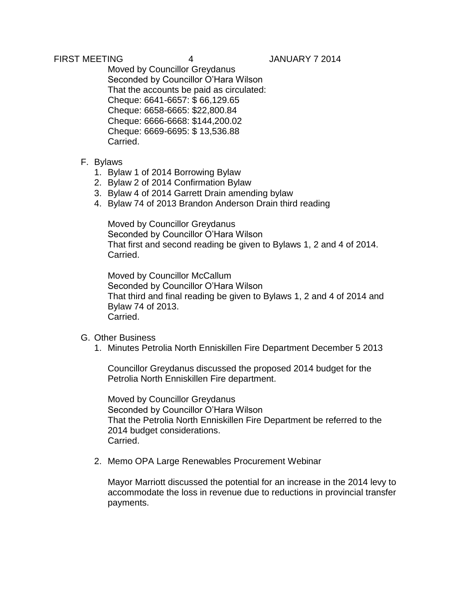Moved by Councillor Greydanus Seconded by Councillor O'Hara Wilson That the accounts be paid as circulated: Cheque: 6641-6657: \$ 66,129.65 Cheque: 6658-6665: \$22,800.84 Cheque: 6666-6668: \$144,200.02 Cheque: 6669-6695: \$ 13,536.88 Carried.

## F. Bylaws

- 1. Bylaw 1 of 2014 Borrowing Bylaw
- 2. Bylaw 2 of 2014 Confirmation Bylaw
- 3. Bylaw 4 of 2014 Garrett Drain amending bylaw
- 4. Bylaw 74 of 2013 Brandon Anderson Drain third reading

Moved by Councillor Greydanus Seconded by Councillor O'Hara Wilson That first and second reading be given to Bylaws 1, 2 and 4 of 2014. Carried.

Moved by Councillor McCallum Seconded by Councillor O'Hara Wilson That third and final reading be given to Bylaws 1, 2 and 4 of 2014 and Bylaw 74 of 2013. Carried.

### G. Other Business

1. Minutes Petrolia North Enniskillen Fire Department December 5 2013

Councillor Greydanus discussed the proposed 2014 budget for the Petrolia North Enniskillen Fire department.

Moved by Councillor Greydanus Seconded by Councillor O'Hara Wilson That the Petrolia North Enniskillen Fire Department be referred to the 2014 budget considerations. Carried.

2. Memo OPA Large Renewables Procurement Webinar

Mayor Marriott discussed the potential for an increase in the 2014 levy to accommodate the loss in revenue due to reductions in provincial transfer payments.